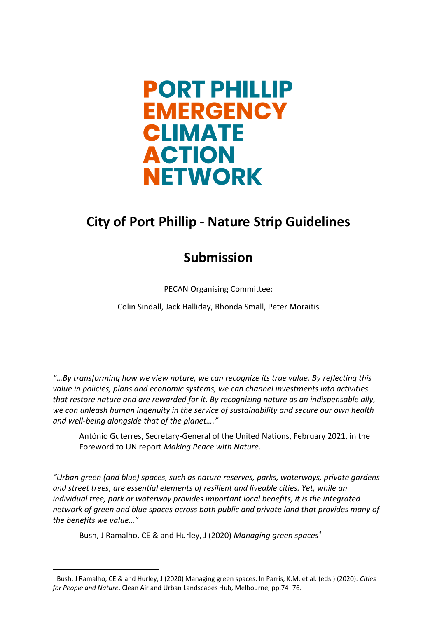

# **City of Port Phillip - Nature Strip Guidelines**

### **Submission**

PECAN Organising Committee:

Colin Sindall, Jack Halliday, Rhonda Small, Peter Moraitis

*"…By transforming how we view nature, we can recognize its true value. By reflecting this value in policies, plans and economic systems, we can channel investments into activities that restore nature and are rewarded for it. By recognizing nature as an indispensable ally, we can unleash human ingenuity in the service of sustainability and secure our own health and well-being alongside that of the planet…."*

António Guterres, Secretary-General of the United Nations, February 2021, in the Foreword to UN report *Making Peace with Nature*.

*"Urban green (and blue) spaces, such as nature reserves, parks, waterways, private gardens and street trees, are essential elements of resilient and liveable cities. Yet, while an individual tree, park or waterway provides important local benefits, it is the integrated network of green and blue spaces across both public and private land that provides many of the benefits we value…"*

Bush, J Ramalho, CE & and Hurley, J (2020) *Managing green spaces<sup>1</sup>*

<sup>1</sup> Bush, J Ramalho, CE & and Hurley, J (2020) Managing green spaces. In Parris, K.M. et al. (eds.) (2020). *Cities for People and Nature*. Clean Air and Urban Landscapes Hub, Melbourne, pp.74–76.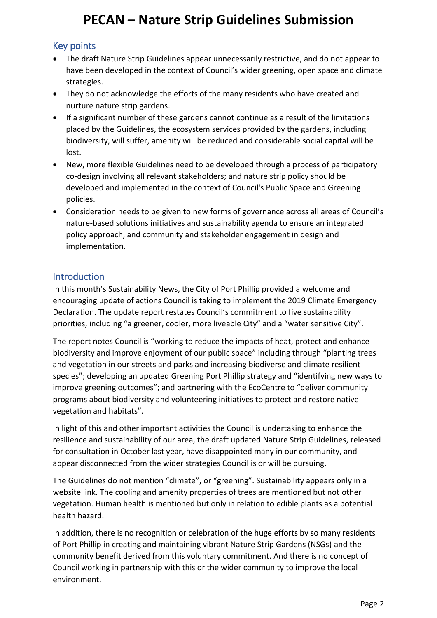### Key points

- The draft Nature Strip Guidelines appear unnecessarily restrictive, and do not appear to have been developed in the context of Council's wider greening, open space and climate strategies.
- They do not acknowledge the efforts of the many residents who have created and nurture nature strip gardens.
- If a significant number of these gardens cannot continue as a result of the limitations placed by the Guidelines, the ecosystem services provided by the gardens, including biodiversity, will suffer, amenity will be reduced and considerable social capital will be lost.
- New, more flexible Guidelines need to be developed through a process of participatory co-design involving all relevant stakeholders; and nature strip policy should be developed and implemented in the context of Council's Public Space and Greening policies.
- Consideration needs to be given to new forms of governance across all areas of Council's nature-based solutions initiatives and sustainability agenda to ensure an integrated policy approach, and community and stakeholder engagement in design and implementation.

#### **Introduction**

In this month's Sustainability News, the City of Port Phillip provided a welcome and encouraging update of actions Council is taking to implement the 2019 Climate Emergency Declaration. The update report restates Council's commitment to five sustainability priorities, including "a greener, cooler, more liveable City" and a "water sensitive City".

The report notes Council is "working to reduce the impacts of heat, protect and enhance biodiversity and improve enjoyment of our public space" including through "planting trees and vegetation in our streets and parks and increasing biodiverse and climate resilient species"; developing an updated Greening Port Phillip strategy and "identifying new ways to improve greening outcomes"; and partnering with the EcoCentre to "deliver community programs about biodiversity and volunteering initiatives to protect and restore native vegetation and habitats".

In light of this and other important activities the Council is undertaking to enhance the resilience and sustainability of our area, the draft updated Nature Strip Guidelines, released for consultation in October last year, have disappointed many in our community, and appear disconnected from the wider strategies Council is or will be pursuing.

The Guidelines do not mention "climate", or "greening". Sustainability appears only in a website link. The cooling and amenity properties of trees are mentioned but not other vegetation. Human health is mentioned but only in relation to edible plants as a potential health hazard.

In addition, there is no recognition or celebration of the huge efforts by so many residents of Port Phillip in creating and maintaining vibrant Nature Strip Gardens (NSGs) and the community benefit derived from this voluntary commitment. And there is no concept of Council working in partnership with this or the wider community to improve the local environment.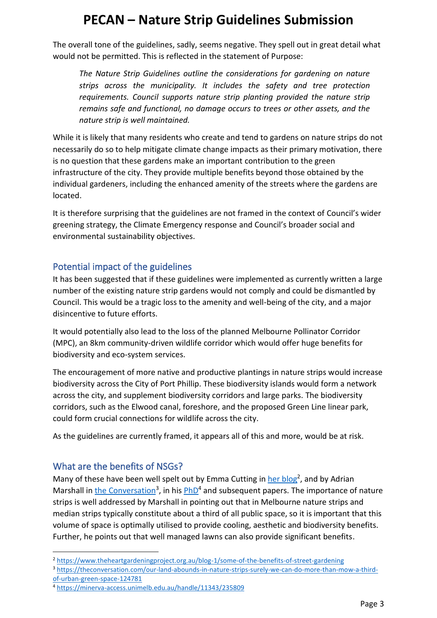The overall tone of the guidelines, sadly, seems negative. They spell out in great detail what would not be permitted. This is reflected in the statement of Purpose:

*The Nature Strip Guidelines outline the considerations for gardening on nature strips across the municipality. It includes the safety and tree protection requirements. Council supports nature strip planting provided the nature strip remains safe and functional, no damage occurs to trees or other assets, and the nature strip is well maintained.*

While it is likely that many residents who create and tend to gardens on nature strips do not necessarily do so to help mitigate climate change impacts as their primary motivation, there is no question that these gardens make an important contribution to the green infrastructure of the city. They provide multiple benefits beyond those obtained by the individual gardeners, including the enhanced amenity of the streets where the gardens are located.

It is therefore surprising that the guidelines are not framed in the context of Council's wider greening strategy, the Climate Emergency response and Council's broader social and environmental sustainability objectives.

### Potential impact of the guidelines

It has been suggested that if these guidelines were implemented as currently written a large number of the existing nature strip gardens would not comply and could be dismantled by Council. This would be a tragic loss to the amenity and well-being of the city, and a major disincentive to future efforts.

It would potentially also lead to the loss of the planned Melbourne Pollinator Corridor (MPC), an 8km community-driven wildlife corridor which would offer huge benefits for biodiversity and eco-system services.

The encouragement of more native and productive plantings in nature strips would increase biodiversity across the City of Port Phillip. These biodiversity islands would form a network across the city, and supplement biodiversity corridors and large parks. The biodiversity corridors, such as the Elwood canal, foreshore, and the proposed Green Line linear park, could form crucial connections for wildlife across the city.

As the guidelines are currently framed, it appears all of this and more, would be at risk.

#### What are the benefits of NSGs?

Many of these have been well spelt out by Emma Cutting i[n her blog](https://www.theheartgardeningproject.org.au/blog-1/some-of-the-benefits-of-street-gardening)<sup>2</sup>, and by Adrian Marshall in [the Conversation](https://theconversation.com/our-land-abounds-in-nature-strips-surely-we-can-do-more-than-mow-a-third-of-urban-green-space-124781)<sup>3</sup>, in his **PhD<sup>4</sup>** and subsequent papers. The importance of nature strips is well addressed by Marshall in pointing out that in Melbourne nature strips and median strips typically constitute about a third of all public space, so it is important that this volume of space is optimally utilised to provide cooling, aesthetic and biodiversity benefits. Further, he points out that well managed lawns can also provide significant benefits.

<sup>2</sup> <https://www.theheartgardeningproject.org.au/blog-1/some-of-the-benefits-of-street-gardening>

<sup>3</sup> [https://theconversation.com/our-land-abounds-in-nature-strips-surely-we-can-do-more-than-mow-a-third](https://theconversation.com/our-land-abounds-in-nature-strips-surely-we-can-do-more-than-mow-a-third-of-urban-green-space-124781)[of-urban-green-space-124781](https://theconversation.com/our-land-abounds-in-nature-strips-surely-we-can-do-more-than-mow-a-third-of-urban-green-space-124781)

<sup>4</sup> <https://minerva-access.unimelb.edu.au/handle/11343/235809>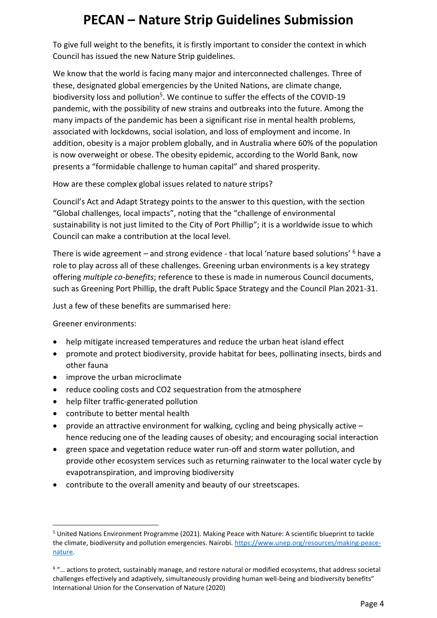To give full weight to the benefits, it is firstly important to consider the context in which Council has issued the new Nature Strip guidelines.

We know that the world is facing many major and interconnected challenges. Three of these, designated global emergencies by the United Nations, are climate change, biodiversity loss and pollution<sup>5</sup>. We continue to suffer the effects of the COVID-19 pandemic, with the possibility of new strains and outbreaks into the future. Among the many impacts of the pandemic has been a significant rise in mental health problems, associated with lockdowns, social isolation, and loss of employment and income. In addition, obesity is a major problem globally, and in Australia where 60% of the population is now overweight or obese. The obesity epidemic, according to the World Bank, now presents a "formidable challenge to human capital" and shared prosperity.

How are these complex global issues related to nature strips?

Council's Act and Adapt Strategy points to the answer to this question, with the section "Global challenges, local impacts", noting that the "challenge of environmental sustainability is not just limited to the City of Port Phillip"; it is a worldwide issue to which Council can make a contribution at the local level.

There is wide agreement – and strong evidence - that local 'nature based solutions' <sup>6</sup> have a role to play across all of these challenges. Greening urban environments is a key strategy offering *multiple co-benefits*; reference to these is made in numerous Council documents, such as Greening Port Phillip, the draft Public Space Strategy and the Council Plan 2021-31.

Just a few of these benefits are summarised here:

Greener environments:

- help mitigate increased temperatures and reduce the urban heat island effect
- promote and protect biodiversity, provide habitat for bees, pollinating insects, birds and other fauna
- improve the urban microclimate
- reduce cooling costs and CO2 sequestration from the atmosphere
- help filter traffic-generated pollution
- contribute to better mental health
- provide an attractive environment for walking, cycling and being physically active hence reducing one of the leading causes of obesity; and encouraging social interaction
- green space and vegetation reduce water run-off and storm water pollution, and provide other ecosystem services such as returning rainwater to the local water cycle by evapotranspiration, and improving biodiversity
- contribute to the overall amenity and beauty of our streetscapes.

<sup>5</sup> United Nations Environment Programme (2021). Making Peace with Nature: A scientific blueprint to tackle the climate, biodiversity and pollution emergencies. Nairobi. [https://www.unep.org/resources/making-peace](https://www.unep.org/resources/making-peace-nature)[nature.](https://www.unep.org/resources/making-peace-nature)

<sup>6</sup> "… actions to protect, sustainably manage, and restore natural or modified ecosystems, that address societal challenges effectively and adaptively, simultaneously providing human well-being and biodiversity benefits" International Union for the Conservation of Nature (2020)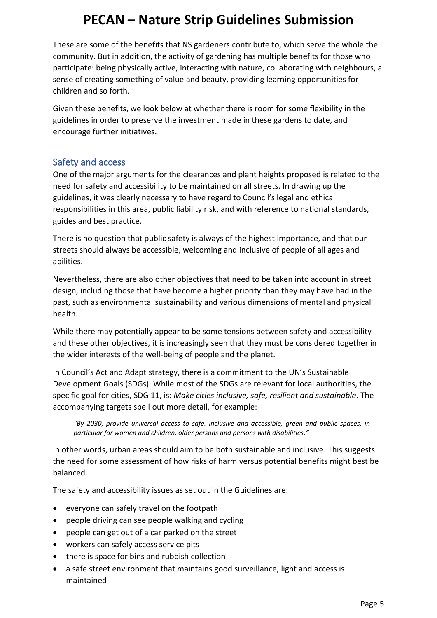These are some of the benefits that NS gardeners contribute to, which serve the whole the community. But in addition, the activity of gardening has multiple benefits for those who participate: being physically active, interacting with nature, collaborating with neighbours, a sense of creating something of value and beauty, providing learning opportunities for children and so forth.

Given these benefits, we look below at whether there is room for some flexibility in the guidelines in order to preserve the investment made in these gardens to date, and encourage further initiatives.

#### Safety and access

One of the major arguments for the clearances and plant heights proposed is related to the need for safety and accessibility to be maintained on all streets. In drawing up the guidelines, it was clearly necessary to have regard to Council's legal and ethical responsibilities in this area, public liability risk, and with reference to national standards, guides and best practice.

There is no question that public safety is always of the highest importance, and that our streets should always be accessible, welcoming and inclusive of people of all ages and abilities.

Nevertheless, there are also other objectives that need to be taken into account in street design, including those that have become a higher priority than they may have had in the past, such as environmental sustainability and various dimensions of mental and physical health.

While there may potentially appear to be some tensions between safety and accessibility and these other objectives, it is increasingly seen that they must be considered together in the wider interests of the well-being of people and the planet.

In Council's Act and Adapt strategy, there is a commitment to the UN's Sustainable Development Goals (SDGs). While most of the SDGs are relevant for local authorities, the specific goal for cities, SDG 11, is: *Make cities inclusive, safe, resilient and sustainable*. The accompanying targets spell out more detail, for example:

*"By 2030, provide universal access to safe, inclusive and accessible, green and public spaces, in particular for women and children, older persons and persons with disabilities."*

In other words, urban areas should aim to be both sustainable and inclusive. This suggests the need for some assessment of how risks of harm versus potential benefits might best be balanced.

The safety and accessibility issues as set out in the Guidelines are:

- everyone can safely travel on the footpath
- people driving can see people walking and cycling
- people can get out of a car parked on the street
- workers can safely access service pits
- there is space for bins and rubbish collection
- a safe street environment that maintains good surveillance, light and access is maintained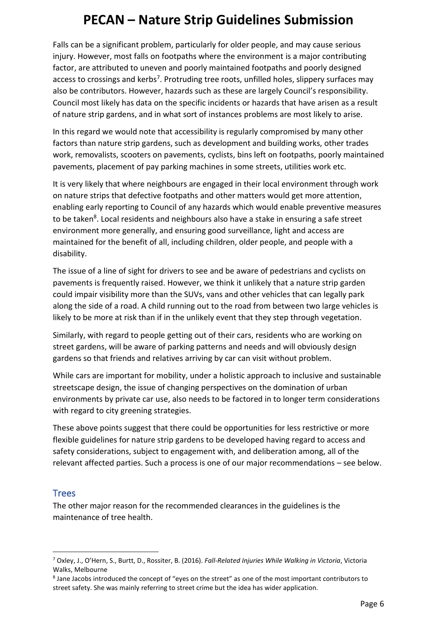Falls can be a significant problem, particularly for older people, and may cause serious injury. However, most falls on footpaths where the environment is a major contributing factor, are attributed to uneven and poorly maintained footpaths and poorly designed access to crossings and kerbs<sup>7</sup>. Protruding tree roots, unfilled holes, slippery surfaces may also be contributors. However, hazards such as these are largely Council's responsibility. Council most likely has data on the specific incidents or hazards that have arisen as a result of nature strip gardens, and in what sort of instances problems are most likely to arise.

In this regard we would note that accessibility is regularly compromised by many other factors than nature strip gardens, such as development and building works, other trades work, removalists, scooters on pavements, cyclists, bins left on footpaths, poorly maintained pavements, placement of pay parking machines in some streets, utilities work etc.

It is very likely that where neighbours are engaged in their local environment through work on nature strips that defective footpaths and other matters would get more attention, enabling early reporting to Council of any hazards which would enable preventive measures to be taken<sup>8</sup>. Local residents and neighbours also have a stake in ensuring a safe street environment more generally, and ensuring good surveillance, light and access are maintained for the benefit of all, including children, older people, and people with a disability.

The issue of a line of sight for drivers to see and be aware of pedestrians and cyclists on pavements is frequently raised. However, we think it unlikely that a nature strip garden could impair visibility more than the SUVs, vans and other vehicles that can legally park along the side of a road. A child running out to the road from between two large vehicles is likely to be more at risk than if in the unlikely event that they step through vegetation.

Similarly, with regard to people getting out of their cars, residents who are working on street gardens, will be aware of parking patterns and needs and will obviously design gardens so that friends and relatives arriving by car can visit without problem.

While cars are important for mobility, under a holistic approach to inclusive and sustainable streetscape design, the issue of changing perspectives on the domination of urban environments by private car use, also needs to be factored in to longer term considerations with regard to city greening strategies.

These above points suggest that there could be opportunities for less restrictive or more flexible guidelines for nature strip gardens to be developed having regard to access and safety considerations, subject to engagement with, and deliberation among, all of the relevant affected parties. Such a process is one of our major recommendations – see below.

#### **Trees**

The other major reason for the recommended clearances in the guidelines is the maintenance of tree health.

<sup>7</sup> Oxley, J., O'Hern, S., Burtt, D., Rossiter, B. (2016). *Fall-Related Injuries While Walking in Victoria*, Victoria Walks, Melbourne

<sup>&</sup>lt;sup>8</sup> Jane Jacobs introduced the concept of "eyes on the street" as one of the most important contributors to street safety. She was mainly referring to street crime but the idea has wider application.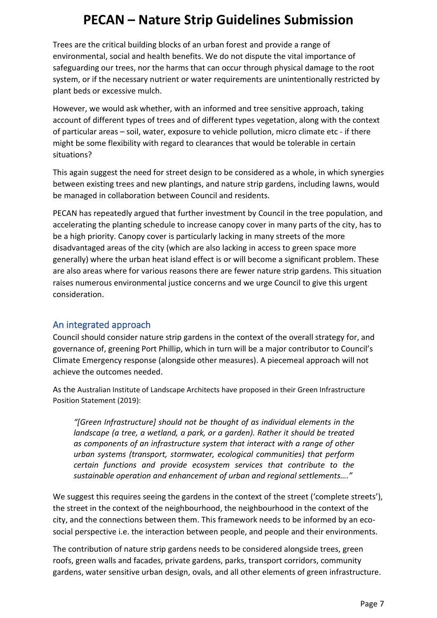Trees are the critical building blocks of an urban forest and provide a range of environmental, social and health benefits. We do not dispute the vital importance of safeguarding our trees, nor the harms that can occur through physical damage to the root system, or if the necessary nutrient or water requirements are unintentionally restricted by plant beds or excessive mulch.

However, we would ask whether, with an informed and tree sensitive approach, taking account of different types of trees and of different types vegetation, along with the context of particular areas – soil, water, exposure to vehicle pollution, micro climate etc - if there might be some flexibility with regard to clearances that would be tolerable in certain situations?

This again suggest the need for street design to be considered as a whole, in which synergies between existing trees and new plantings, and nature strip gardens, including lawns, would be managed in collaboration between Council and residents.

PECAN has repeatedly argued that further investment by Council in the tree population, and accelerating the planting schedule to increase canopy cover in many parts of the city, has to be a high priority. Canopy cover is particularly lacking in many streets of the more disadvantaged areas of the city (which are also lacking in access to green space more generally) where the urban heat island effect is or will become a significant problem. These are also areas where for various reasons there are fewer nature strip gardens. This situation raises numerous environmental justice concerns and we urge Council to give this urgent consideration.

#### An integrated approach

Council should consider nature strip gardens in the context of the overall strategy for, and governance of, greening Port Phillip, which in turn will be a major contributor to Council's Climate Emergency response (alongside other measures). A piecemeal approach will not achieve the outcomes needed.

As the Australian Institute of Landscape Architects have proposed in their Green Infrastructure Position Statement (2019):

*"[Green Infrastructure] should not be thought of as individual elements in the landscape (a tree, a wetland, a park, or a garden). Rather it should be treated as components of an infrastructure system that interact with a range of other urban systems (transport, stormwater, ecological communities) that perform certain functions and provide ecosystem services that contribute to the sustainable operation and enhancement of urban and regional settlements…."*

We suggest this requires seeing the gardens in the context of the street ('complete streets'), the street in the context of the neighbourhood, the neighbourhood in the context of the city, and the connections between them. This framework needs to be informed by an ecosocial perspective i.e. the interaction between people, and people and their environments.

The contribution of nature strip gardens needs to be considered alongside trees, green roofs, green walls and facades, private gardens, parks, transport corridors, community gardens, water sensitive urban design, ovals, and all other elements of green infrastructure.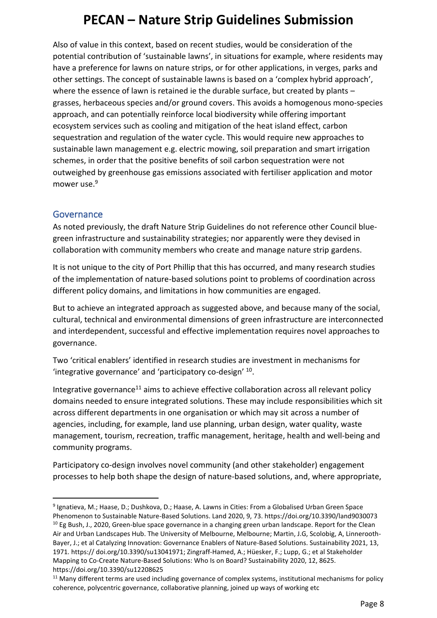Also of value in this context, based on recent studies, would be consideration of the potential contribution of 'sustainable lawns', in situations for example, where residents may have a preference for lawns on nature strips, or for other applications, in verges, parks and other settings. The concept of sustainable lawns is based on a 'complex hybrid approach', where the essence of lawn is retained ie the durable surface, but created by plants grasses, herbaceous species and/or ground covers. This avoids a homogenous mono-species approach, and can potentially reinforce local biodiversity while offering important ecosystem services such as cooling and mitigation of the heat island effect, carbon sequestration and regulation of the water cycle. This would require new approaches to sustainable lawn management e.g. electric mowing, soil preparation and smart irrigation schemes, in order that the positive benefits of soil carbon sequestration were not outweighed by greenhouse gas emissions associated with fertiliser application and motor  $m$ OWer use  $9$ 

#### Governance

As noted previously, the draft Nature Strip Guidelines do not reference other Council bluegreen infrastructure and sustainability strategies; nor apparently were they devised in collaboration with community members who create and manage nature strip gardens.

It is not unique to the city of Port Phillip that this has occurred, and many research studies of the implementation of nature-based solutions point to problems of coordination across different policy domains, and limitations in how communities are engaged.

But to achieve an integrated approach as suggested above, and because many of the social, cultural, technical and environmental dimensions of green infrastructure are interconnected and interdependent, successful and effective implementation requires novel approaches to governance.

Two 'critical enablers' identified in research studies are investment in mechanisms for 'integrative governance' and 'participatory co-design' <sup>10</sup> .

Integrative governance<sup>11</sup> aims to achieve effective collaboration across all relevant policy domains needed to ensure integrated solutions. These may include responsibilities which sit across different departments in one organisation or which may sit across a number of agencies, including, for example, land use planning, urban design, water quality, waste management, tourism, recreation, traffic management, heritage, health and well-being and community programs.

Participatory co-design involves novel community (and other stakeholder) engagement processes to help both shape the design of nature-based solutions, and, where appropriate,

<sup>9</sup> Ignatieva, M.; Haase, D.; Dushkova, D.; Haase, A. Lawns in Cities: From a Globalised Urban Green Space Phenomenon to Sustainable Nature-Based Solutions. Land 2020, 9, 73. https://doi.org/10.3390/land9030073 <sup>10</sup> Eg Bush, J., 2020, Green-blue space governance in a changing green urban landscape. Report for the Clean Air and Urban Landscapes Hub. The University of Melbourne, Melbourne; Martin, J.G, Scolobig, A, Linnerooth-Bayer, J.; et al Catalyzing Innovation: Governance Enablers of Nature-Based Solutions. Sustainability 2021, 13, 1971. https:// doi.org/10.3390/su13041971; Zingraff-Hamed, A.; Hüesker, F.; Lupp, G.; et al Stakeholder Mapping to Co-Create Nature-Based Solutions: Who Is on Board? Sustainability 2020, 12, 8625. https://doi.org/10.3390/su12208625

<sup>&</sup>lt;sup>11</sup> Many different terms are used including governance of complex systems, institutional mechanisms for policy coherence, polycentric governance, collaborative planning, joined up ways of working etc